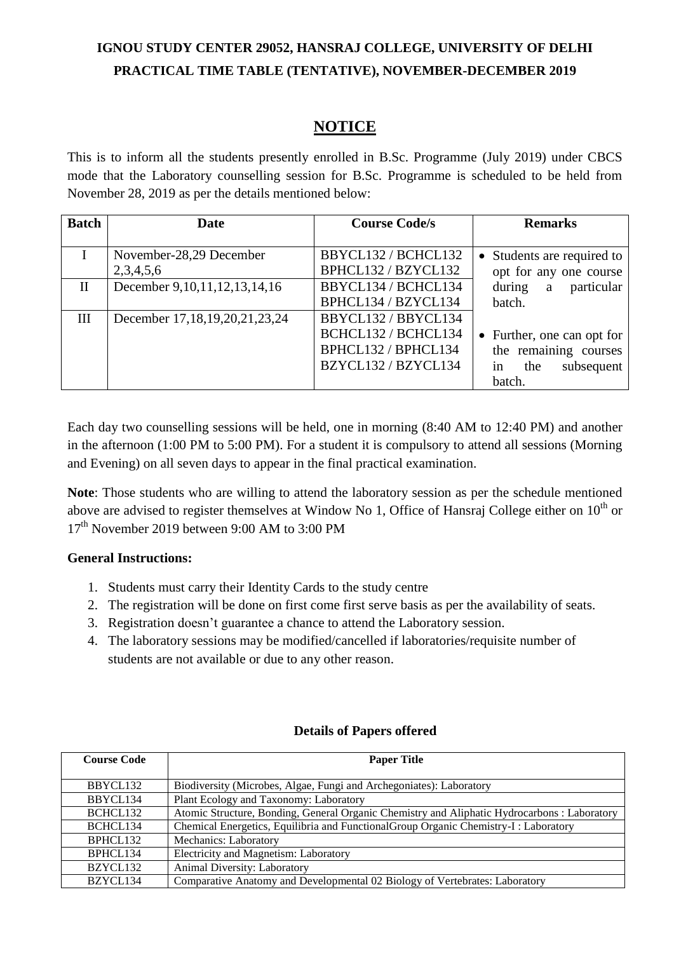# **IGNOU STUDY CENTER 29052, HANSRAJ COLLEGE, UNIVERSITY OF DELHI PRACTICAL TIME TABLE (TENTATIVE), NOVEMBER-DECEMBER 2019**

### **NOTICE**

This is to inform all the students presently enrolled in B.Sc. Programme (July 2019) under CBCS mode that the Laboratory counselling session for B.Sc. Programme is scheduled to be held from November 28, 2019 as per the details mentioned below:

| <b>Batch</b> | Date                                | <b>Course Code/s</b> | <b>Remarks</b>             |
|--------------|-------------------------------------|----------------------|----------------------------|
|              |                                     |                      |                            |
|              | November-28,29 December             | BBYCL132 / BCHCL132  | • Students are required to |
|              | 2,3,4,5,6                           | BPHCL132 / BZYCL132  | opt for any one course     |
| $\mathbf{I}$ | December 9, 10, 11, 12, 13, 14, 16  | BBYCL134 / BCHCL134  | during a particular        |
|              |                                     | BPHCL134 / BZYCL134  | batch.                     |
| III          | December 17, 18, 19, 20, 21, 23, 24 | BBYCL132 / BBYCL134  |                            |
|              |                                     | BCHCL132 / BCHCL134  | • Further, one can opt for |
|              |                                     | BPHCL132 / BPHCL134  | the remaining courses      |
|              |                                     | BZYCL132 / BZYCL134  | in<br>subsequent<br>the    |
|              |                                     |                      | batch.                     |

Each day two counselling sessions will be held, one in morning (8:40 AM to 12:40 PM) and another in the afternoon (1:00 PM to 5:00 PM). For a student it is compulsory to attend all sessions (Morning and Evening) on all seven days to appear in the final practical examination.

**Note**: Those students who are willing to attend the laboratory session as per the schedule mentioned above are advised to register themselves at Window No 1, Office of Hansraj College either on  $10<sup>th</sup>$  or 17th November 2019 between 9:00 AM to 3:00 PM

#### **General Instructions:**

- 1. Students must carry their Identity Cards to the study centre
- 2. The registration will be done on first come first serve basis as per the availability of seats.
- 3. Registration doesn't guarantee a chance to attend the Laboratory session.
- 4. The laboratory sessions may be modified/cancelled if laboratories/requisite number of students are not available or due to any other reason.

| <b>Course Code</b>   | <b>Paper Title</b>                                                                           |
|----------------------|----------------------------------------------------------------------------------------------|
|                      |                                                                                              |
| BBYCL132             | Biodiversity (Microbes, Algae, Fungi and Archegoniates): Laboratory                          |
| BBYCL134             | Plant Ecology and Taxonomy: Laboratory                                                       |
| BCHCL <sub>132</sub> | Atomic Structure, Bonding, General Organic Chemistry and Aliphatic Hydrocarbons : Laboratory |
| BCHCL134             | Chemical Energetics, Equilibria and Functional Group Organic Chemistry-I: Laboratory         |
| BPHCL132             | <b>Mechanics: Laboratory</b>                                                                 |
| BPHCL134             | Electricity and Magnetism: Laboratory                                                        |
| BZYCL132             | Animal Diversity: Laboratory                                                                 |
| BZYCL134             | Comparative Anatomy and Developmental 02 Biology of Vertebrates: Laboratory                  |

### **Details of Papers offered**